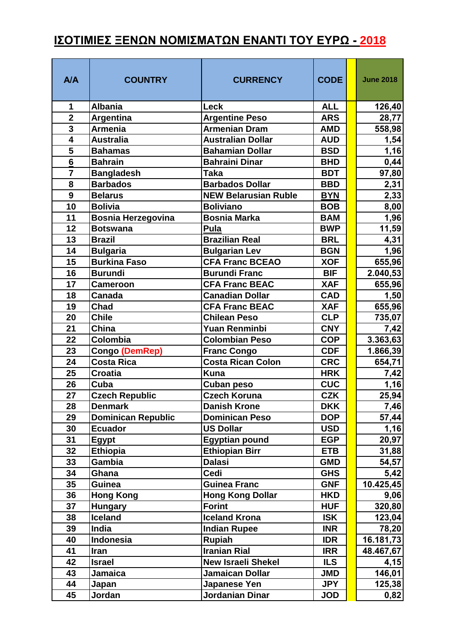## **ΙΣΟΤΙΜΙΕΣ ΞΕΝΩΝ ΝΟΜΙΣΜΑΤΩΝ ΕΝΑΝΤΙ ΤΟΥ ΕΥΡΩ - 2018**

| A/A                     | <b>COUNTRY</b>                             | <b>CURRENCY</b>                                | <b>CODE</b>              | <b>June 2018</b>   |
|-------------------------|--------------------------------------------|------------------------------------------------|--------------------------|--------------------|
| 1                       | <b>Albania</b>                             | <b>Leck</b>                                    | <b>ALL</b>               | 126,40             |
| $\overline{\mathbf{2}}$ | <b>Argentina</b>                           | <b>Argentine Peso</b>                          | <b>ARS</b>               | 28,77              |
| $\overline{\mathbf{3}}$ | <b>Armenia</b>                             | <b>Armenian Dram</b>                           | <b>AMD</b>               | 558,98             |
| $\overline{4}$          | <b>Australia</b>                           | <b>Australian Dollar</b>                       | <b>AUD</b>               | 1,54               |
| 5                       | <b>Bahamas</b>                             | <b>Bahamian Dollar</b>                         | <b>BSD</b>               | 1,16               |
| $\overline{\mathbf{6}}$ | <b>Bahrain</b>                             | <b>Bahraini Dinar</b>                          | <b>BHD</b>               | 0,44               |
| $\overline{7}$          | <b>Bangladesh</b>                          | <b>Taka</b>                                    | <b>BDT</b>               | 97,80              |
| 8                       | <b>Barbados</b>                            | <b>Barbados Dollar</b>                         | <b>BBD</b>               | 2,31               |
| $\boldsymbol{9}$        | <b>Belarus</b>                             | <b>NEW Belarusian Ruble</b>                    | <b>BYN</b>               | 2,33               |
| 10                      | <b>Bolivia</b>                             | <b>Boliviano</b>                               | <b>BOB</b>               | 8,00               |
| 11                      | <b>Bosnia Herzegovina</b>                  | <b>Bosnia Marka</b>                            | <b>BAM</b>               | 1,96               |
| 12                      | <b>Botswana</b>                            | Pula                                           | <b>BWP</b>               | 11,59              |
| 13                      | <b>Brazil</b>                              | <b>Brazilian Real</b>                          | <b>BRL</b>               | 4,31               |
| 14                      | <b>Bulgaria</b>                            | <b>Bulgarian Lev</b>                           | <b>BGN</b>               | 1,96               |
| 15                      | <b>Burkina Faso</b>                        | <b>CFA Franc BCEAO</b>                         | <b>XOF</b>               | 655,96             |
| 16                      | <b>Burundi</b>                             | <b>Burundi Franc</b>                           | <b>BIF</b>               | 2.040,53           |
| 17                      | <b>Cameroon</b>                            | <b>CFA Franc BEAC</b>                          | <b>XAF</b>               | 655,96             |
| 18                      | <b>Canada</b>                              | <b>Canadian Dollar</b>                         | <b>CAD</b>               | 1,50               |
| 19                      | <b>Chad</b>                                | <b>CFA Franc BEAC</b>                          | <b>XAF</b>               | 655,96             |
| 20                      | <b>Chile</b>                               | <b>Chilean Peso</b>                            | <b>CLP</b>               | 735,07             |
| 21<br>22                | China<br>Colombia                          | <b>Yuan Renminbi</b><br><b>Colombian Peso</b>  | <b>CNY</b><br><b>COP</b> | 7,42               |
| 23                      |                                            |                                                | <b>CDF</b>               | 3.363,63           |
| 24                      | <b>Congo (DemRep)</b><br><b>Costa Rica</b> | <b>Franc Congo</b><br><b>Costa Rican Colon</b> | <b>CRC</b>               | 1.866,39<br>654,71 |
| 25                      | <b>Croatia</b>                             | <b>Kuna</b>                                    | <b>HRK</b>               | 7,42               |
| 26                      | Cuba                                       | <b>Cuban peso</b>                              | <b>CUC</b>               | 1,16               |
| 27                      | <b>Czech Republic</b>                      | <b>Czech Koruna</b>                            | <b>CZK</b>               | 25,94              |
| 28                      | <b>Denmark</b>                             | <b>Danish Krone</b>                            | <b>DKK</b>               | 7,46               |
| 29                      | <b>Dominican Republic</b>                  | <b>Dominican Peso</b>                          | <b>DOP</b>               | 57,44              |
| 30                      | <b>Ecuador</b>                             | <b>US Dollar</b>                               | <b>USD</b>               | 1,16               |
| 31                      | <b>Egypt</b>                               | <b>Egyptian pound</b>                          | <b>EGP</b>               | 20,97              |
| 32                      | <b>Ethiopia</b>                            | <b>Ethiopian Birr</b>                          | <b>ETB</b>               | 31,88              |
| 33                      | Gambia                                     | <b>Dalasi</b>                                  | <b>GMD</b>               | 54,57              |
| 34                      | Ghana                                      | Cedi                                           | <b>GHS</b>               | 5,42               |
| 35                      | Guinea                                     | <b>Guinea Franc</b>                            | <b>GNF</b>               | 10.425,45          |
| 36                      | <b>Hong Kong</b>                           | <b>Hong Kong Dollar</b>                        | <b>HKD</b>               | 9,06               |
| 37                      | <b>Hungary</b>                             | <b>Forint</b>                                  | <b>HUF</b>               | 320,80             |
| 38                      | <b>Iceland</b>                             | <b>Iceland Krona</b>                           | <b>ISK</b>               | 123,04             |
| 39                      | India                                      | <b>Indian Rupee</b>                            | <b>INR</b>               | 78,20              |
| 40                      | Indonesia                                  | <b>Rupiah</b>                                  | <b>IDR</b>               | 16.181,73          |
| 41                      | Iran                                       | <b>Iranian Rial</b>                            | <b>IRR</b>               | 48.467,67          |
| 42                      | <b>Israel</b>                              | <b>New Israeli Shekel</b>                      | <b>ILS</b>               | 4,15               |
| 43                      | Jamaica                                    | <b>Jamaican Dollar</b>                         | <b>JMD</b>               | 146,01             |
| 44                      | Japan                                      | Japanese Yen                                   | <b>JPY</b>               | 125,38             |
| 45                      | Jordan                                     | Jordanian Dinar                                | <b>JOD</b>               | 0,82               |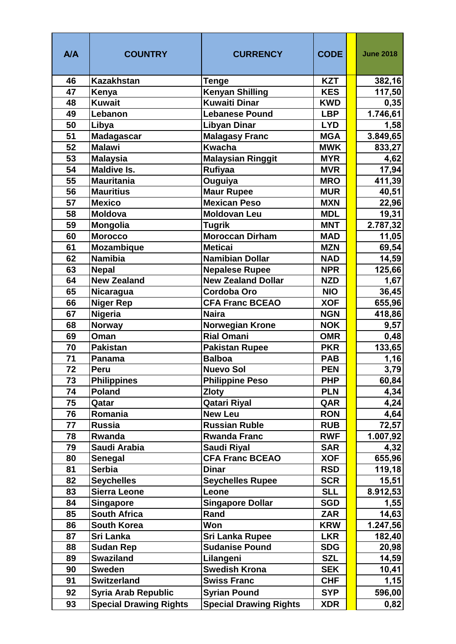| A/A | <b>COUNTRY</b>                | <b>CURRENCY</b>               | <b>CODE</b> | <b>June 2018</b> |
|-----|-------------------------------|-------------------------------|-------------|------------------|
| 46  | Kazakhstan                    | <b>Tenge</b>                  | <b>KZT</b>  | 382,16           |
| 47  | Kenya                         | <b>Kenyan Shilling</b>        | <b>KES</b>  | 117,50           |
| 48  | <b>Kuwait</b>                 | <b>Kuwaiti Dinar</b>          | <b>KWD</b>  | 0,35             |
| 49  | Lebanon                       | <b>Lebanese Pound</b>         | <b>LBP</b>  | 1.746,61         |
| 50  | Libya                         | <b>Libyan Dinar</b>           | <b>LYD</b>  | 1,58             |
| 51  | <b>Madagascar</b>             | <b>Malagasy Franc</b>         | <b>MGA</b>  | 3.849,65         |
| 52  | <b>Malawi</b>                 | <b>Kwacha</b>                 | <b>MWK</b>  | 833,27           |
| 53  | <b>Malaysia</b>               | <b>Malaysian Ringgit</b>      | <b>MYR</b>  | 4,62             |
| 54  | <b>Maldive Is.</b>            | Rufiyaa                       | <b>MVR</b>  | 17,94            |
| 55  | <b>Mauritania</b>             | Ouguiya                       | <b>MRO</b>  | 411,39           |
| 56  | <b>Mauritius</b>              | <b>Maur Rupee</b>             | <b>MUR</b>  | 40,51            |
| 57  | <b>Mexico</b>                 | <b>Mexican Peso</b>           | <b>MXN</b>  | 22,96            |
| 58  | <b>Moldova</b>                | <b>Moldovan Leu</b>           | <b>MDL</b>  | 19,31            |
| 59  | Mongolia                      | <b>Tugrik</b>                 | <b>MNT</b>  | 2.787,32         |
| 60  | <b>Morocco</b>                | Moroccan Dirham               | <b>MAD</b>  | 11,05            |
| 61  | Mozambique                    | <b>Meticai</b>                | <b>MZN</b>  | 69,54            |
| 62  | <b>Namibia</b>                | <b>Namibian Dollar</b>        | <b>NAD</b>  | 14,59            |
| 63  | <b>Nepal</b>                  | <b>Nepalese Rupee</b>         | <b>NPR</b>  | 125,66           |
| 64  | <b>New Zealand</b>            | <b>New Zealand Dollar</b>     | <b>NZD</b>  | 1,67             |
| 65  | Nicaragua                     | <b>Cordoba Oro</b>            | <b>NIO</b>  | 36,45            |
| 66  | <b>Niger Rep</b>              | <b>CFA Franc BCEAO</b>        | <b>XOF</b>  | 655,96           |
| 67  | Nigeria                       | <b>Naira</b>                  | <b>NGN</b>  | 418,86           |
| 68  | <b>Norway</b>                 | <b>Norwegian Krone</b>        | <b>NOK</b>  | 9,57             |
| 69  | Oman                          | <b>Rial Omani</b>             | <b>OMR</b>  | 0,48             |
| 70  | <b>Pakistan</b>               | <b>Pakistan Rupee</b>         | <b>PKR</b>  | 133,65           |
| 71  | Panama                        | <b>Balboa</b>                 | <b>PAB</b>  | 1,16             |
| 72  | Peru                          | <b>Nuevo Sol</b>              | <b>PEN</b>  | 3,79             |
| 73  | <b>Philippines</b>            | <b>Philippine Peso</b>        | <b>PHP</b>  | 60,84            |
| 74  | <b>Poland</b>                 | <b>Zloty</b>                  | <b>PLN</b>  | 4,34             |
| 75  | Qatar                         | <b>Qatari Riyal</b>           | QAR         | 4,24             |
| 76  | Romania                       | <b>New Leu</b>                | <b>RON</b>  | 4,64             |
| 77  | <b>Russia</b>                 | <b>Russian Ruble</b>          | <b>RUB</b>  | 72,57            |
| 78  | Rwanda                        | <b>Rwanda Franc</b>           | <b>RWF</b>  | 1.007,92         |
| 79  | Saudi Arabia                  | Saudi Riyal                   | <b>SAR</b>  | 4,32             |
| 80  | <b>Senegal</b>                | <b>CFA Franc BCEAO</b>        | <b>XOF</b>  | 655,96           |
| 81  | <b>Serbia</b>                 | <b>Dinar</b>                  | <b>RSD</b>  | 119,18           |
| 82  | <b>Seychelles</b>             | <b>Seychelles Rupee</b>       | <b>SCR</b>  | 15,51            |
| 83  | <b>Sierra Leone</b>           | Leone                         | <b>SLL</b>  | 8.912,53         |
| 84  | <b>Singapore</b>              | <b>Singapore Dollar</b>       | <b>SGD</b>  | 1,55             |
| 85  | <b>South Africa</b>           | Rand                          | <b>ZAR</b>  | 14,63            |
| 86  | <b>South Korea</b>            | <b>Won</b>                    | <b>KRW</b>  | 1.247,56         |
| 87  | Sri Lanka                     | Sri Lanka Rupee               | <b>LKR</b>  | 182,40           |
| 88  | <b>Sudan Rep</b>              | <b>Sudanise Pound</b>         | <b>SDG</b>  | 20,98            |
| 89  | <b>Swaziland</b>              | Lilangeni                     | <b>SZL</b>  | 14,59            |
| 90  | <b>Sweden</b>                 | <b>Swedish Krona</b>          | <b>SEK</b>  | 10,41            |
| 91  | <b>Switzerland</b>            | <b>Swiss Franc</b>            | <b>CHF</b>  | 1,15             |
| 92  | <b>Syria Arab Republic</b>    | <b>Syrian Pound</b>           | <b>SYP</b>  | 596,00           |
| 93  | <b>Special Drawing Rights</b> | <b>Special Drawing Rights</b> | <b>XDR</b>  | 0,82             |
|     |                               |                               |             |                  |